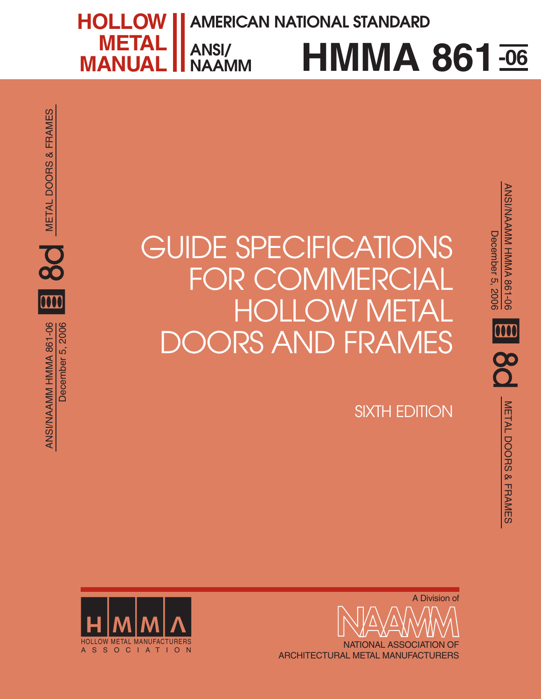**HMMA 861 -06 HOLLOW METAL MANUAL ANSI/ NAAMM AMERICAN NATIONAL STANDARD**

GUIDE SPECIFICATIONS FOR COMMERCIAL **HOLLOW M** ORS AND FRAMES

SIXTH EDITION

ANSI/NAAMM HMMA 861-06

m

**80** 

ANSI/NAAMM HMMA 861-06<br>December 5, 2006

**SOL** METAL DOORS & FRAMES

**METAL DOORS & FRAMES** 

December 5, 2006



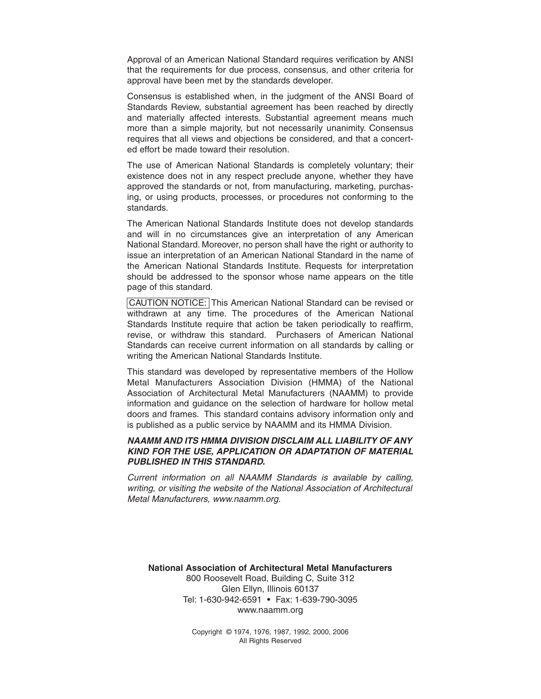Approval of an American National Standard requires verification by ANSI that the requirements for due process, consensus, and other criteria for approval have been met by the standards developer.

Consensus is established when, in the judgment of the ANSI Board of Standards Review, substantial agreement has been reached by directly and materially affected interests. Substantial agreement means much more than a simple majority, but not necessarily unanimity. Consensus requires that all views and objections be considered, and that a concerted effort be made toward their resolution.

The use of American National Standards is completely voluntary; their existence does not in any respect preclude anyone, whether they have approved the standards or not, from manufacturing, marketing, purchasing, or using products, processes, or procedures not conforming to the standards.

The American National Standards Institute does not develop standards and will in no circumstances give an interpretation of any American National Standard. Moreover, no person shall have the right or authority to issue an interpretation of an American National Standard in the name of the American National Standards Institute. Requests for interpretation should be addressed to the sponsor whose name appears on the title page of this standard.

CAUTION NOTICE: This American National Standard can be revised or withdrawn at any time. The procedures of the American National Standards Institute require that action be taken periodically to reaffirm, revise, or withdraw this standard. Purchasers of American National Standards can receive current information on all standards by calling or writing the American National Standards Institute.

This standard was developed by representative members of the Hollow Metal Manufacturers Association Division (HMMA) of the National Association of Architectural Metal Manufacturers (NAAMM) to provide information and guidance on the selection of hardware for hollow metal doors and frames. This standard contains advisory information only and is published as a public service by NAAMM and its HMMA Division.

#### *NAAMM AND ITS HMMA DIVISION DISCLAIM ALL LIABILITY OF ANY KIND FOR THE USE, APPLICATION OR ADAPTATION OF MATERIAL PUBLISHED IN THIS STANDARD.*

Current information on all NAAMM Standards is available by calling, writing, or visiting the website of the National Association of Architectural Metal Manufacturers, www.naamm.org.

*National Association of Architectural Metal Manufacturers* 800 Roosevelt Road, Building C, Suite 312 Glen Ellyn, Illinois 60137 Tel: 1-630-942-6591 • Fax: 1-639-790-3095 www.naamm.org

> Copyright © 1974, 1976, 1987, 1992, 2000, 2006 All Rights Reserved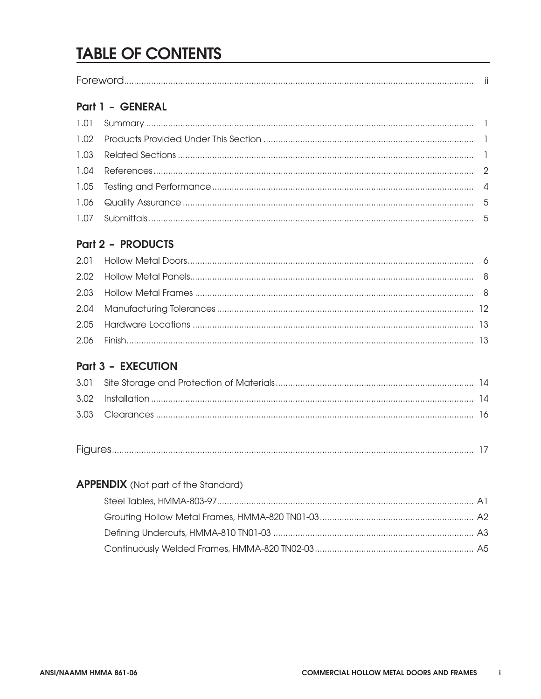# **TABLE OF CONTENTS**

| $\overline{\phantom{0}}$<br>M( |  |
|--------------------------------|--|
|--------------------------------|--|

### Part 1 - GENERAL

### Part 2 - PRODUCTS

## Part 3 - EXECUTION

| $\overline{\phantom{a}}$ |
|--------------------------|
|--------------------------|

| <b>APPENDIX</b> (Not part of the Standard) |  |
|--------------------------------------------|--|
|                                            |  |
|                                            |  |
|                                            |  |
|                                            |  |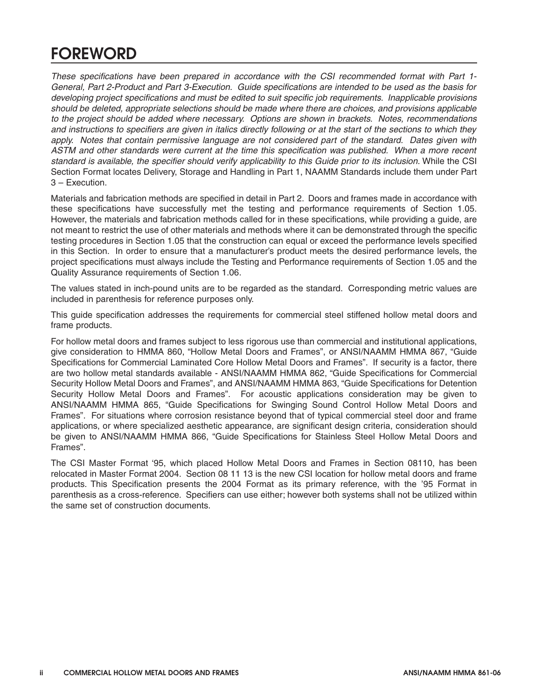# **FOREWORD**

*These specifications have been prepared in accordance with the CSI recommended format with Part 1- General, Part 2-Product and Part 3-Execution. Guide specifications are intended to be used as the basis for developing project specifications and must be edited to suit specific job requirements. Inapplicable provisions should be deleted, appropriate selections should be made where there are choices, and provisions applicable to the project should be added where necessary. Options are shown in brackets. Notes, recommendations and instructions to specifiers are given in italics directly following or at the start of the sections to which they apply. Notes that contain permissive language are not considered part of the standard. Dates given with ASTM and other standards were current at the time this specification was published. When a more recent standard is available, the specifier should verify applicability to this Guide prior to its inclusion. While the CSI Section Format locates Delivery, Storage and Handling in Part 1, NAAMM Standards include them under Part 3 – Execution.*

*Materials and fabrication methods are specified in detail in Part 2. Doors and frames made in accordance with these specifications have successfully met the testing and performance requirements of Section 1.05. However, the materials and fabrication methods called for in these specifications, while providing a guide, are not meant to restrict the use of other materials and methods where it can be demonstrated through the specific testing procedures in Section 1.05 that the construction can equal or exceed the performance levels specified in this Section. In order to ensure that a manufacturer's product meets the desired performance levels, the project specifications must always include the Testing and Performance requirements of Section 1.05 and the Quality Assurance requirements of Section 1.06.*

*The values stated in inch-pound units are to be regarded as the standard. Corresponding metric values are included in parenthesis for reference purposes only.*

*This guide specification addresses the requirements for commercial steel stiffened hollow metal doors and frame products.*

*For hollow metal doors and frames subject to less rigorous use than commercial and institutional applications, give consideration to HMMA 860, "Hollow Metal Doors and Frames", or ANSI/NAAMM HMMA 867, "Guide Specifications for Commercial Laminated Core Hollow Metal Doors and Frames". If security is a factor, there are two hollow metal standards available - ANSI/NAAMM HMMA 862, "Guide Specifications for Commercial Security Hollow Metal Doors and Frames", and ANSI/NAAMM HMMA 863, "Guide Specifications for Detention Security Hollow Metal Doors and Frames". For acoustic applications consideration may be given to ANSI/NAAMM HMMA 865, "Guide Specifications for Swinging Sound Control Hollow Metal Doors and Frames". For situations where corrosion resistance beyond that of typical commercial steel door and frame applications, or where specialized aesthetic appearance, are significant design criteria, consideration should be given to ANSI/NAAMM HMMA 866, "Guide Specifications for Stainless Steel Hollow Metal Doors and Frames".*

*The CSI Master Format '95, which placed Hollow Metal Doors and Frames in Section 08110, has been relocated in Master Format 2004. Section 08 11 13 is the new CSI location for hollow metal doors and frame products. This Specification presents the 2004 Format as its primary reference, with the '95 Format in parenthesis as a cross-reference. Specifiers can use either; however both systems shall not be utilized within the same set of construction documents.*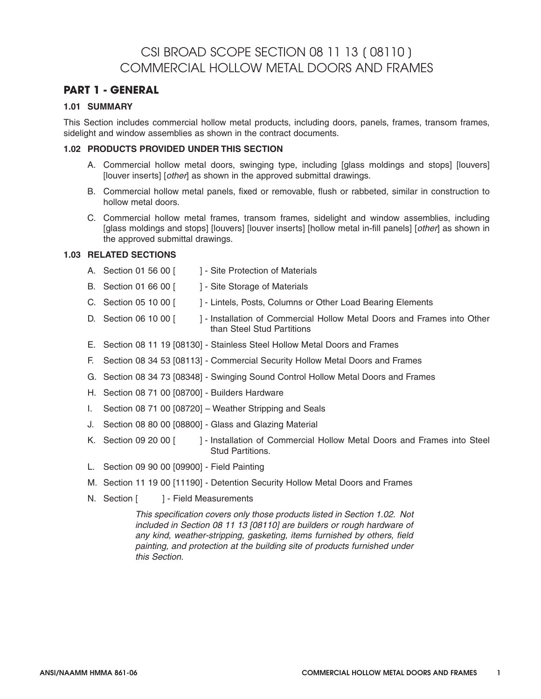# CSI BROAD SCOPE SECTION 08 11 13 [ 08110 ] COMMERCIAL HOLLOW METAL DOORS AND FRAMES

#### **PART 1 - GENERAL**

#### **1.01 SUMMARY**

This Section includes commercial hollow metal products, including doors, panels, frames, transom frames, sidelight and window assemblies as shown in the contract documents.

#### **1.02 PRODUCTS PROVIDED UNDER THIS SECTION**

- A. Commercial hollow metal doors, swinging type, including [glass moldings and stops] [louvers] [louver inserts] [other] as shown in the approved submittal drawings.
- B. Commercial hollow metal panels, fixed or removable, flush or rabbeted, similar in construction to hollow metal doors.
- C. Commercial hollow metal frames, transom frames, sidelight and window assemblies, including [glass moldings and stops] [louvers] [louver inserts] [hollow metal in-fill panels] [other] as shown in the approved submittal drawings.

#### **1.03 RELATED SECTIONS**

- A. Section 01 56 00 [ ] Site Protection of Materials
- B. Section 01 66 00 [ ] Site Storage of Materials
- C. Section 05 10 00 [ ] Lintels, Posts, Columns or Other Load Bearing Elements
- D. Section 06 10 00 [ ] Installation of Commercial Hollow Metal Doors and Frames into Other than Steel Stud Partitions
- E. Section 08 11 19 [08130] Stainless Steel Hollow Metal Doors and Frames
- F. Section 08 34 53 [08113] Commercial Security Hollow Metal Doors and Frames
- G. Section 08 34 73 [08348] Swinging Sound Control Hollow Metal Doors and Frames
- H. Section 08 71 00 [08700] Builders Hardware
- I. Section 08 71 00 [08720] Weather Stripping and Seals
- J. Section 08 80 00 [08800] Glass and Glazing Material
- K. Section 09 20 00 [ ] Installation of Commercial Hollow Metal Doors and Frames into Steel Stud Partitions.
- L. Section 09 90 00 [09900] Field Painting
- M. Section 11 19 00 [11190] Detention Security Hollow Metal Doors and Frames
- N. Section [ ] Field Measurements

This specification covers only those products listed in Section 1.02. Not included in Section 08 11 13 [08110] are builders or rough hardware of any kind, weather-stripping, gasketing, items furnished by others, field painting, and protection at the building site of products furnished under this Section.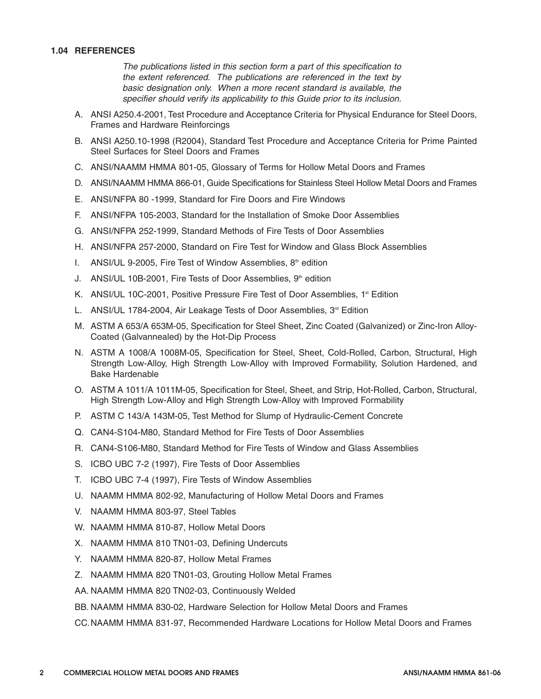#### **1.04 REFERENCES**

*The publications listed in this section form a part of this specification to the extent referenced. The publications are referenced in the text by basic designation only. When a more recent standard is available, the specifier should verify its applicability to this Guide prior to its inclusion.*

- *A. ANSI A250.4-2001, Test Procedure and Acceptance Criteria for Physical Endurance for Steel Doors, Frames and Hardware Reinforcings*
- *B. ANSI A250.10-1998 (R2004), Standard Test Procedure and Acceptance Criteria for Prime Painted Steel Surfaces for Steel Doors and Frames*
- *C. ANSI/NAAMM HMMA 801-05, Glossary of Terms for Hollow Metal Doors and Frames*
- *D. ANSI/NAAMM HMMA 866-01, Guide Specifications for Stainless Steel Hollow Metal Doors and Frames*
- *E. ANSI/NFPA 80 -1999, Standard for Fire Doors and Fire Windows*
- *F. ANSI/NFPA 105-2003, Standard for the Installation of Smoke Door Assemblies*
- *G. ANSI/NFPA 252-1999, Standard Methods of Fire Tests of Door Assemblies*
- *H. ANSI/NFPA 257-2000, Standard on Fire Test for Window and Glass Block Assemblies*
- *I. ANSI/UL 9-2005, Fire Test of Window Assemblies, 8th edition*
- *J. ANSI/UL 10B-2001, Fire Tests of Door Assemblies, 9th edition*
- *K. ANSI/UL 10C-2001, Positive Pressure Fire Test of Door Assemblies, 1st Edition*
- L. ANSI/UL 1784-2004, Air Leakage Tests of Door Assemblies, 3<sup>rd</sup> Edition
- *M. ASTM A 653/A 653M-05, Specification for Steel Sheet, Zinc Coated (Galvanized) or Zinc-Iron Alloy-Coated (Galvannealed) by the Hot-Dip Process*
- *N. ASTM A 1008/A 1008M-05, Specification for Steel, Sheet, Cold-Rolled, Carbon, Structural, High Strength Low-Alloy, High Strength Low-Alloy with Improved Formability, Solution Hardened, and Bake Hardenable*
- *O. ASTM A 1011/A 1011M-05, Specification for Steel, Sheet, and Strip, Hot-Rolled, Carbon, Structural, High Strength Low-Alloy and High Strength Low-Alloy with Improved Formability*
- *P. ASTM C 143/A 143M-05, Test Method for Slump of Hydraulic-Cement Concrete*
- *Q. CAN4-S104-M80, Standard Method for Fire Tests of Door Assemblies*
- *R. CAN4-S106-M80, Standard Method for Fire Tests of Window and Glass Assemblies*
- *S. ICBO UBC 7-2 (1997), Fire Tests of Door Assemblies*
- *T. ICBO UBC 7-4 (1997), Fire Tests of Window Assemblies*
- *U. NAAMM HMMA 802-92, Manufacturing of Hollow Metal Doors and Frames*
- *V. NAAMM HMMA 803-97, Steel Tables*
- *W. NAAMM HMMA 810-87, Hollow Metal Doors*
- *X. NAAMM HMMA 810 TN01-03, Defining Undercuts*
- *Y. NAAMM HMMA 820-87, Hollow Metal Frames*
- *Z. NAAMM HMMA 820 TN01-03, Grouting Hollow Metal Frames*
- *AA. NAAMM HMMA 820 TN02-03, Continuously Welded*
- *BB. NAAMM HMMA 830-02, Hardware Selection for Hollow Metal Doors and Frames*

*CC.NAAMM HMMA 831-97, Recommended Hardware Locations for Hollow Metal Doors and Frames*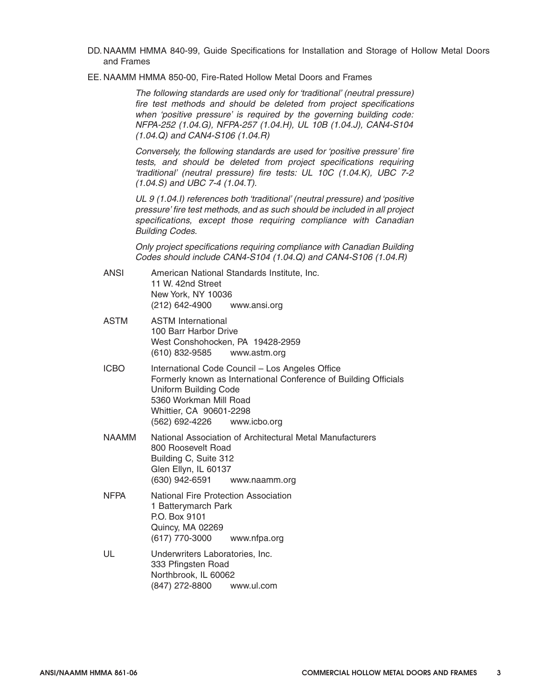- DD. NAAMM HMMA 840-99, Guide Specifications for Installation and Storage of Hollow Metal Doors and Frames
- EE. NAAMM HMMA 850-00, Fire-Rated Hollow Metal Doors and Frames

The following standards are used only for 'traditional' (neutral pressure) fire test methods and should be deleted from project specifications when 'positive pressure' is required by the governing building code: NFPA-252 (1.04.G), NFPA-257 (1.04.H), UL 10B (1.04.J), CAN4-S104 (1.04.Q) and CAN4-S106 (1.04.R)

Conversely, the following standards are used for 'positive pressure' fire tests, and should be deleted from project specifications requiring 'traditional' (neutral pressure) fire tests: UL 10C (1.04.K), UBC 7-2 (1.04.S) and UBC 7-4 (1.04.T).

UL 9 (1.04.I) references both 'traditional' (neutral pressure) and 'positive pressure' fire test methods, and as such should be included in all project specifications, except those requiring compliance with Canadian Building Codes.

Only project specifications requiring compliance with Canadian Building Codes should include CAN4-S104 (1.04.Q) and CAN4-S106 (1.04.R)

- ANSI American National Standards Institute, Inc. 11 W. 42nd Street New York, NY 10036 (212) 642-4900 www.ansi.org
- ASTM ASTM International 100 Barr Harbor Drive West Conshohocken, PA 19428-2959 (610) 832-9585 www.astm.org
- ICBO International Code Council Los Angeles Office Formerly known as International Conference of Building Officials Uniform Building Code 5360 Workman Mill Road Whittier, CA 90601-2298 (562) 692-4226 www.icbo.org
- NAAMM National Association of Architectural Metal Manufacturers 800 Roosevelt Road Building C, Suite 312 Glen Ellyn, IL 60137 (630) 942-6591 www.naamm.org
- NFPA National Fire Protection Association 1 Batterymarch Park P.O. Box 9101 Quincy, MA 02269 (617) 770-3000 www.nfpa.org
- UL Underwriters Laboratories, Inc. 333 Pfingsten Road Northbrook, IL 60062 (847) 272-8800 www.ul.com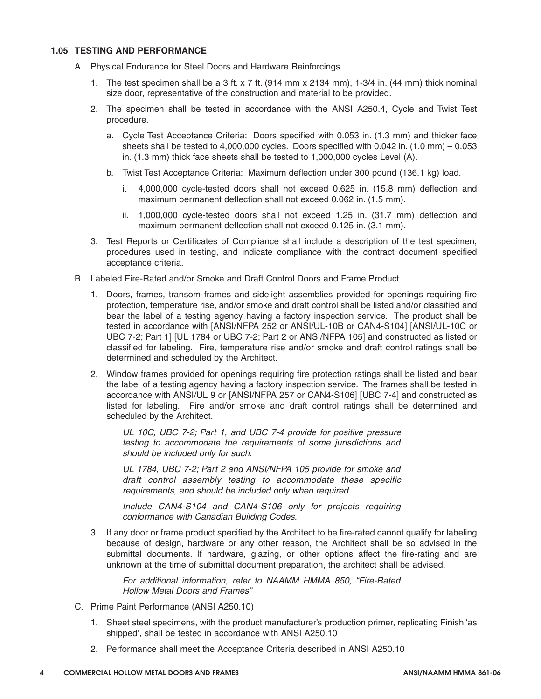#### **1.05 TESTING AND PERFORMANCE**

- A. Physical Endurance for Steel Doors and Hardware Reinforcings
	- 1. The test specimen shall be a 3 ft. x 7 ft. (914 mm x 2134 mm), 1-3/4 in. (44 mm) thick nominal size door, representative of the construction and material to be provided.
	- 2. The specimen shall be tested in accordance with the ANSI A250.4, Cycle and Twist Test procedure.
		- a. Cycle Test Acceptance Criteria: Doors specified with 0.053 in. (1.3 mm) and thicker face sheets shall be tested to 4,000,000 cycles. Doors specified with 0.042 in. (1.0 mm) – 0.053 in. (1.3 mm) thick face sheets shall be tested to 1,000,000 cycles Level (A).
		- b. Twist Test Acceptance Criteria: Maximum deflection under 300 pound (136.1 kg) load.
			- i. 4,000,000 cycle-tested doors shall not exceed 0.625 in. (15.8 mm) deflection and maximum permanent deflection shall not exceed 0.062 in. (1.5 mm).
			- ii. 1,000,000 cycle-tested doors shall not exceed 1.25 in. (31.7 mm) deflection and maximum permanent deflection shall not exceed 0.125 in. (3.1 mm).
	- 3. Test Reports or Certificates of Compliance shall include a description of the test specimen, procedures used in testing, and indicate compliance with the contract document specified acceptance criteria.
- B. Labeled Fire-Rated and/or Smoke and Draft Control Doors and Frame Product
	- 1. Doors, frames, transom frames and sidelight assemblies provided for openings requiring fire protection, temperature rise, and/or smoke and draft control shall be listed and/or classified and bear the label of a testing agency having a factory inspection service. The product shall be tested in accordance with [ANSI/NFPA 252 or ANSI/UL-10B or CAN4-S104] [ANSI/UL-10C or UBC 7-2; Part 1] [UL 1784 or UBC 7-2; Part 2 or ANSI/NFPA 105] and constructed as listed or classified for labeling. Fire, temperature rise and/or smoke and draft control ratings shall be determined and scheduled by the Architect.
	- 2. Window frames provided for openings requiring fire protection ratings shall be listed and bear the label of a testing agency having a factory inspection service. The frames shall be tested in accordance with ANSI/UL 9 or [ANSI/NFPA 257 or CAN4-S106] [UBC 7-4] and constructed as listed for labeling. Fire and/or smoke and draft control ratings shall be determined and scheduled by the Architect.

UL 10C, UBC 7-2; Part 1, and UBC 7-4 provide for positive pressure testing to accommodate the requirements of some jurisdictions and should be included only for such.

UL 1784, UBC 7-2; Part 2 and ANSI/NFPA 105 provide for smoke and draft control assembly testing to accommodate these specific requirements, and should be included only when required.

Include CAN4-S104 and CAN4-S106 only for projects requiring conformance with Canadian Building Codes.

3. If any door or frame product specified by the Architect to be fire-rated cannot qualify for labeling because of design, hardware or any other reason, the Architect shall be so advised in the submittal documents. If hardware, glazing, or other options affect the fire-rating and are unknown at the time of submittal document preparation, the architect shall be advised.

For additional information, refer to NAAMM HMMA 850, "Fire-Rated Hollow Metal Doors and Frames"

- C. Prime Paint Performance (ANSI A250.10)
	- 1. Sheet steel specimens, with the product manufacturer's production primer, replicating Finish 'as shipped', shall be tested in accordance with ANSI A250.10
	- 2. Performance shall meet the Acceptance Criteria described in ANSI A250.10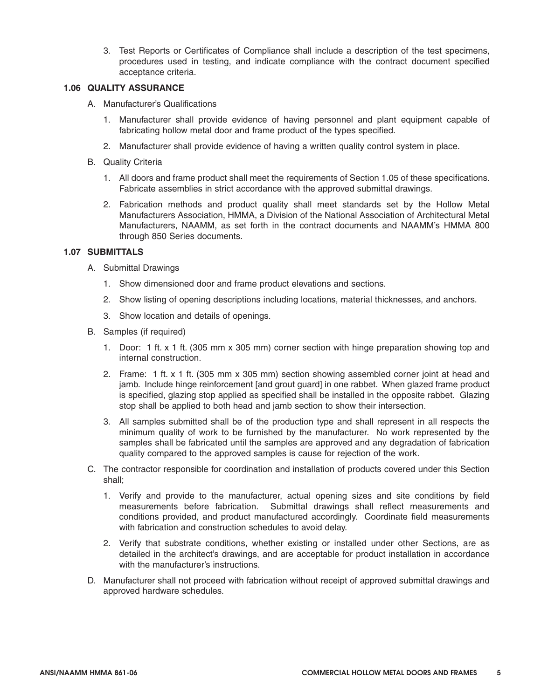3. Test Reports or Certificates of Compliance shall include a description of the test specimens, procedures used in testing, and indicate compliance with the contract document specified acceptance criteria.

#### **1.06 QUALITY ASSURANCE**

- A. Manufacturer's Qualifications
	- 1. Manufacturer shall provide evidence of having personnel and plant equipment capable of fabricating hollow metal door and frame product of the types specified.
	- 2. Manufacturer shall provide evidence of having a written quality control system in place.
- B. Quality Criteria
	- 1. All doors and frame product shall meet the requirements of Section 1.05 of these specifications. Fabricate assemblies in strict accordance with the approved submittal drawings.
	- 2. Fabrication methods and product quality shall meet standards set by the Hollow Metal Manufacturers Association, HMMA, a Division of the National Association of Architectural Metal Manufacturers, NAAMM, as set forth in the contract documents and NAAMM's HMMA 800 through 850 Series documents.

#### **1.07 SUBMITTALS**

- A. Submittal Drawings
	- 1. Show dimensioned door and frame product elevations and sections.
	- 2. Show listing of opening descriptions including locations, material thicknesses, and anchors.
	- 3. Show location and details of openings.
- B. Samples (if required)
	- 1. Door: 1 ft. x 1 ft. (305 mm x 305 mm) corner section with hinge preparation showing top and internal construction.
	- 2. Frame: 1 ft. x 1 ft. (305 mm x 305 mm) section showing assembled corner joint at head and jamb. Include hinge reinforcement [and grout guard] in one rabbet. When glazed frame product is specified, glazing stop applied as specified shall be installed in the opposite rabbet. Glazing stop shall be applied to both head and jamb section to show their intersection.
	- 3. All samples submitted shall be of the production type and shall represent in all respects the minimum quality of work to be furnished by the manufacturer. No work represented by the samples shall be fabricated until the samples are approved and any degradation of fabrication quality compared to the approved samples is cause for rejection of the work.
- C. The contractor responsible for coordination and installation of products covered under this Section shall;
	- 1. Verify and provide to the manufacturer, actual opening sizes and site conditions by field measurements before fabrication. Submittal drawings shall reflect measurements and conditions provided, and product manufactured accordingly. Coordinate field measurements with fabrication and construction schedules to avoid delay.
	- 2. Verify that substrate conditions, whether existing or installed under other Sections, are as detailed in the architect's drawings, and are acceptable for product installation in accordance with the manufacturer's instructions.
- D. Manufacturer shall not proceed with fabrication without receipt of approved submittal drawings and approved hardware schedules.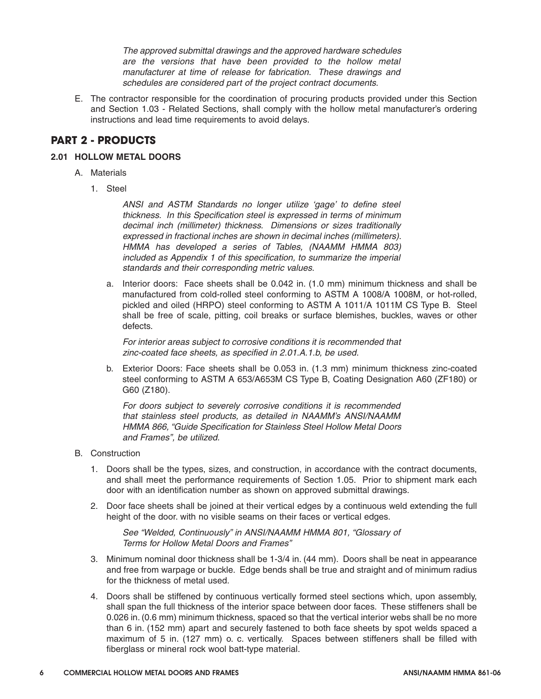*The approved submittal drawings and the approved hardware schedules are the versions that have been provided to the hollow metal manufacturer at time of release for fabrication. These drawings and schedules are considered part of the project contract documents.*

*E. The contractor responsible for the coordination of procuring products provided under this Section and Section 1.03 - Related Sections, shall comply with the hollow metal manufacturer's ordering instructions and lead time requirements to avoid delays.*

#### **PART 2 - PRODUCTS**

#### **2.01 HOLLOW METAL DOORS**

- *A. Materials*
	- *1. Steel*

*ANSI and ASTM Standards no longer utilize 'gage' to define steel thickness. In this Specification steel is expressed in terms of minimum decimal inch (millimeter) thickness. Dimensions or sizes traditionally expressed in fractional inches are shown in decimal inches (millimeters). HMMA has developed a series of Tables, (NAAMM HMMA 803) included as Appendix 1 of this specification, to summarize the imperial standards and their corresponding metric values.*

*a. Interior doors: Face sheets shall be 0.042 in. (1.0 mm) minimum thickness and shall be manufactured from cold-rolled steel conforming to ASTM A 1008/A 1008M, or hot-rolled, pickled and oiled (HRPO) steel conforming to ASTM A 1011/A 1011M CS Type B. Steel shall be free of scale, pitting, coil breaks or surface blemishes, buckles, waves or other defects.*

*For interior areas subject to corrosive conditions it is recommended that zinc-coated face sheets, as specified in 2.01.A.1.b, be used.*

*b. Exterior Doors: Face sheets shall be 0.053 in. (1.3 mm) minimum thickness zinc-coated steel conforming to ASTM A 653/A653M CS Type B, Coating Designation A60 (ZF180) or G60 (Z180).*

*For doors subject to severely corrosive conditions it is recommended that stainless steel products, as detailed in NAAMM's ANSI/NAAMM HMMA 866, "Guide Specification for Stainless Steel Hollow Metal Doors and Frames", be utilized.*

- *B. Construction*
	- *1. Doors shall be the types, sizes, and construction, in accordance with the contract documents, and shall meet the performance requirements of Section 1.05. Prior to shipment mark each door with an identification number as shown on approved submittal drawings.*
	- *2. Door face sheets shall be joined at their vertical edges by a continuous weld extending the full height of the door. with no visible seams on their faces or vertical edges.*

*See "Welded, Continuously" in ANSI/NAAMM HMMA 801, "Glossary of Terms for Hollow Metal Doors and Frames"*

- *3. Minimum nominal door thickness shall be 1-3/4 in. (44 mm). Doors shall be neat in appearance and free from warpage or buckle. Edge bends shall be true and straight and of minimum radius for the thickness of metal used.*
- *4. Doors shall be stiffened by continuous vertically formed steel sections which, upon assembly, shall span the full thickness of the interior space between door faces. These stiffeners shall be 0.026 in. (0.6 mm) minimum thickness, spaced so that the vertical interior webs shall be no more than 6 in. (152 mm) apart and securely fastened to both face sheets by spot welds spaced a maximum of 5 in. (127 mm) o. c. vertically. Spaces between stiffeners shall be filled with fiberglass or mineral rock wool batt-type material.*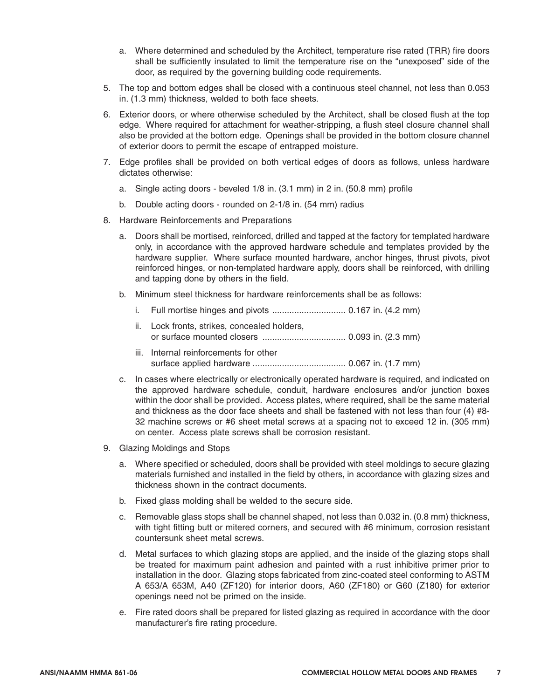- a. Where determined and scheduled by the Architect, temperature rise rated (TRR) fire doors shall be sufficiently insulated to limit the temperature rise on the "unexposed" side of the door, as required by the governing building code requirements.
- 5. The top and bottom edges shall be closed with a continuous steel channel, not less than 0.053 in. (1.3 mm) thickness, welded to both face sheets.
- 6. Exterior doors, or where otherwise scheduled by the Architect, shall be closed flush at the top edge. Where required for attachment for weather-stripping, a flush steel closure channel shall also be provided at the bottom edge. Openings shall be provided in the bottom closure channel of exterior doors to permit the escape of entrapped moisture.
- 7. Edge profiles shall be provided on both vertical edges of doors as follows, unless hardware dictates otherwise:
	- a. Single acting doors beveled 1/8 in. (3.1 mm) in 2 in. (50.8 mm) profile
	- b. Double acting doors rounded on 2-1/8 in. (54 mm) radius
- 8. Hardware Reinforcements and Preparations
	- a. Doors shall be mortised, reinforced, drilled and tapped at the factory for templated hardware only, in accordance with the approved hardware schedule and templates provided by the hardware supplier. Where surface mounted hardware, anchor hinges, thrust pivots, pivot reinforced hinges, or non-templated hardware apply, doors shall be reinforced, with drilling and tapping done by others in the field.
	- b. Minimum steel thickness for hardware reinforcements shall be as follows:
		- i. Full mortise hinges and pivots .............................. 0.167 in. (4.2 mm)
		- ii. Lock fronts, strikes, concealed holders, or surface mounted closers .................................. 0.093 in. (2.3 mm)
		- iii. Internal reinforcements for other surface applied hardware ...................................... 0.067 in. (1.7 mm)
	- c. In cases where electrically or electronically operated hardware is required, and indicated on the approved hardware schedule, conduit, hardware enclosures and/or junction boxes within the door shall be provided. Access plates, where required, shall be the same material and thickness as the door face sheets and shall be fastened with not less than four (4) #8- 32 machine screws or #6 sheet metal screws at a spacing not to exceed 12 in. (305 mm) on center. Access plate screws shall be corrosion resistant.
- 9. Glazing Moldings and Stops
	- a. Where specified or scheduled, doors shall be provided with steel moldings to secure glazing materials furnished and installed in the field by others, in accordance with glazing sizes and thickness shown in the contract documents.
	- b. Fixed glass molding shall be welded to the secure side.
	- c. Removable glass stops shall be channel shaped, not less than 0.032 in. (0.8 mm) thickness, with tight fitting butt or mitered corners, and secured with #6 minimum, corrosion resistant countersunk sheet metal screws.
	- d. Metal surfaces to which glazing stops are applied, and the inside of the glazing stops shall be treated for maximum paint adhesion and painted with a rust inhibitive primer prior to installation in the door. Glazing stops fabricated from zinc-coated steel conforming to ASTM A 653/A 653M, A40 (ZF120) for interior doors, A60 (ZF180) or G60 (Z180) for exterior openings need not be primed on the inside.
	- e. Fire rated doors shall be prepared for listed glazing as required in accordance with the door manufacturer's fire rating procedure.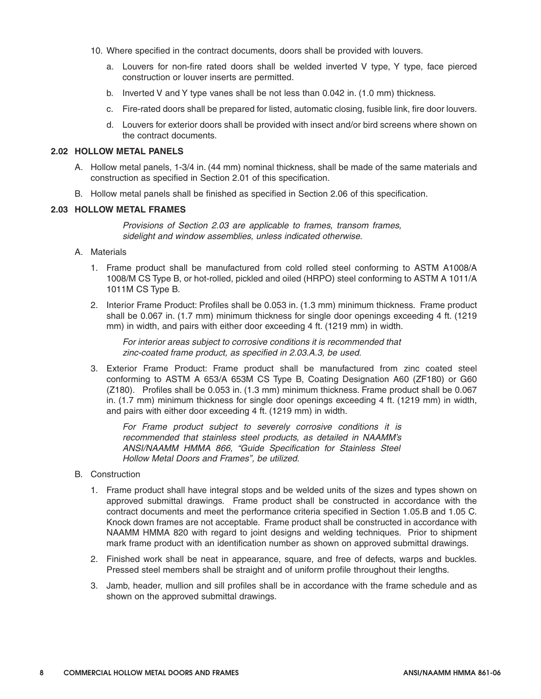- 10. Where specified in the contract documents, doors shall be provided with louvers.
	- a. Louvers for non-fire rated doors shall be welded inverted V type, Y type, face pierced construction or louver inserts are permitted.
	- b. Inverted V and Y type vanes shall be not less than 0.042 in. (1.0 mm) thickness.
	- c. Fire-rated doors shall be prepared for listed, automatic closing, fusible link, fire door louvers.
	- d. Louvers for exterior doors shall be provided with insect and/or bird screens where shown on the contract documents.

#### **2.02 HOLLOW METAL PANELS**

- A. Hollow metal panels, 1-3/4 in. (44 mm) nominal thickness, shall be made of the same materials and construction as specified in Section 2.01 of this specification.
- B. Hollow metal panels shall be finished as specified in Section 2.06 of this specification.

#### **2.03 HOLLOW METAL FRAMES**

Provisions of Section 2.03 are applicable to frames, transom frames, sidelight and window assemblies, unless indicated otherwise.

- A. Materials
	- 1. Frame product shall be manufactured from cold rolled steel conforming to ASTM A1008/A 1008/M CS Type B, or hot-rolled, pickled and oiled (HRPO) steel conforming to ASTM A 1011/A 1011M CS Type B.
	- 2. Interior Frame Product: Profiles shall be 0.053 in. (1.3 mm) minimum thickness. Frame product shall be 0.067 in. (1.7 mm) minimum thickness for single door openings exceeding 4 ft. (1219 mm) in width, and pairs with either door exceeding 4 ft. (1219 mm) in width.

For interior areas subject to corrosive conditions it is recommended that zinc-coated frame product, as specified in 2.03.A.3, be used.

3. Exterior Frame Product: Frame product shall be manufactured from zinc coated steel conforming to ASTM A 653/A 653M CS Type B, Coating Designation A60 (ZF180) or G60 (Z180). Profiles shall be 0.053 in. (1.3 mm) minimum thickness. Frame product shall be 0.067 in. (1.7 mm) minimum thickness for single door openings exceeding 4 ft. (1219 mm) in width, and pairs with either door exceeding 4 ft. (1219 mm) in width.

For Frame product subject to severely corrosive conditions it is recommended that stainless steel products, as detailed in NAAMM's ANSI/NAAMM HMMA 866, "Guide Specification for Stainless Steel Hollow Metal Doors and Frames", be utilized.

- B. Construction
	- 1. Frame product shall have integral stops and be welded units of the sizes and types shown on approved submittal drawings. Frame product shall be constructed in accordance with the contract documents and meet the performance criteria specified in Section 1.05.B and 1.05 C. Knock down frames are not acceptable. Frame product shall be constructed in accordance with NAAMM HMMA 820 with regard to joint designs and welding techniques. Prior to shipment mark frame product with an identification number as shown on approved submittal drawings.
	- 2. Finished work shall be neat in appearance, square, and free of defects, warps and buckles. Pressed steel members shall be straight and of uniform profile throughout their lengths.
	- 3. Jamb, header, mullion and sill profiles shall be in accordance with the frame schedule and as shown on the approved submittal drawings.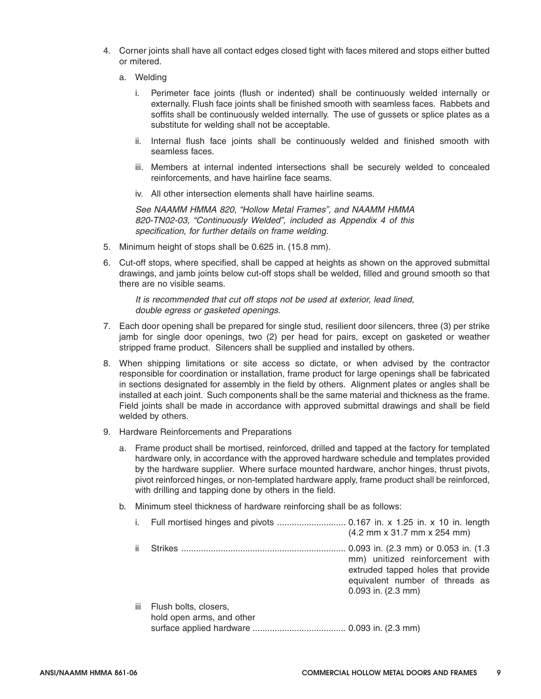- 4. Corner joints shall have all contact edges closed tight with faces mitered and stops either butted or mitered.
	- a. Welding
		- i. Perimeter face joints (flush or indented) shall be continuously welded internally or externally. Flush face joints shall be finished smooth with seamless faces. Rabbets and soffits shall be continuously welded internally. The use of gussets or splice plates as a substitute for welding shall not be acceptable.
		- ii. Internal flush face joints shall be continuously welded and finished smooth with seamless faces.
		- iii. Members at internal indented intersections shall be securely welded to concealed reinforcements, and have hairline face seams.
		- iv. All other intersection elements shall have hairline seams.

See NAAMM HMMA 820, "Hollow Metal Frames", and NAAMM HMMA 820-TN02-03, "Continuously Welded", included as Appendix 4 of this specification, for further details on frame welding.

- 5. Minimum height of stops shall be 0.625 in. (15.8 mm).
- 6. Cut-off stops, where specified, shall be capped at heights as shown on the approved submittal drawings, and jamb joints below cut-off stops shall be welded, filled and ground smooth so that there are no visible seams.

It is recommended that cut off stops not be used at exterior, lead lined, double egress or gasketed openings.

- 7. Each door opening shall be prepared for single stud, resilient door silencers, three (3) per strike jamb for single door openings, two (2) per head for pairs, except on gasketed or weather stripped frame product. Silencers shall be supplied and installed by others.
- 8. When shipping limitations or site access so dictate, or when advised by the contractor responsible for coordination or installation, frame product for large openings shall be fabricated in sections designated for assembly in the field by others. Alignment plates or angles shall be installed at each joint. Such components shall be the same material and thickness as the frame. Field joints shall be made in accordance with approved submittal drawings and shall be field welded by others.
- 9. Hardware Reinforcements and Preparations
	- a. Frame product shall be mortised, reinforced, drilled and tapped at the factory for templated hardware only, in accordance with the approved hardware schedule and templates provided by the hardware supplier. Where surface mounted hardware, anchor hinges, thrust pivots, pivot reinforced hinges, or non-templated hardware apply, frame product shall be reinforced, with drilling and tapping done by others in the field.
	- b. Minimum steel thickness of hardware reinforcing shall be as follows:

|     |                                                    | $(4.2 \, \text{mm} \times 31.7 \, \text{mm} \times 254 \, \text{mm})$                                                                                                      |
|-----|----------------------------------------------------|----------------------------------------------------------------------------------------------------------------------------------------------------------------------------|
| ii. |                                                    | 0.093 in. (2.3 mm) or 0.053 in. (1.3<br>mm) unitized reinforcement with<br>extruded tapped holes that provide<br>equivalent number of threads as<br>$0.093$ in. $(2.3$ mm) |
| iii | Flush bolts, closers,<br>hold open arms, and other |                                                                                                                                                                            |
|     |                                                    |                                                                                                                                                                            |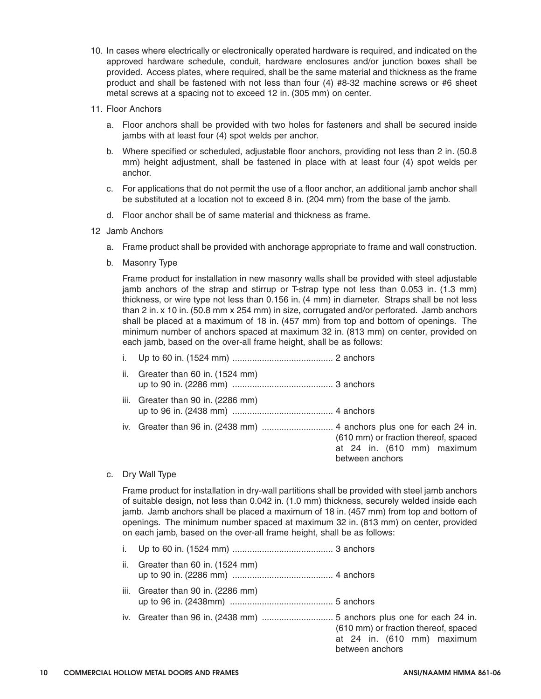- 10. In cases where electrically or electronically operated hardware is required, and indicated on the approved hardware schedule, conduit, hardware enclosures and/or junction boxes shall be provided. Access plates, where required, shall be the same material and thickness as the frame product and shall be fastened with not less than four (4) #8-32 machine screws or #6 sheet metal screws at a spacing not to exceed 12 in. (305 mm) on center.
- 11. Floor Anchors
	- a. Floor anchors shall be provided with two holes for fasteners and shall be secured inside jambs with at least four (4) spot welds per anchor.
	- b. Where specified or scheduled, adjustable floor anchors, providing not less than 2 in. (50.8 mm) height adjustment, shall be fastened in place with at least four (4) spot welds per anchor.
	- c. For applications that do not permit the use of a floor anchor, an additional jamb anchor shall be substituted at a location not to exceed 8 in. (204 mm) from the base of the jamb.
	- d. Floor anchor shall be of same material and thickness as frame.
- 12 Jamb Anchors
	- a. Frame product shall be provided with anchorage appropriate to frame and wall construction.
	- b. Masonry Type

Frame product for installation in new masonry walls shall be provided with steel adjustable jamb anchors of the strap and stirrup or T-strap type not less than 0.053 in. (1.3 mm) thickness, or wire type not less than 0.156 in. (4 mm) in diameter. Straps shall be not less than 2 in. x 10 in. (50.8 mm x 254 mm) in size, corrugated and/or perforated. Jamb anchors shall be placed at a maximum of 18 in. (457 mm) from top and bottom of openings. The minimum number of anchors spaced at maximum 32 in. (813 mm) on center, provided on each jamb, based on the over-all frame height, shall be as follows:

|  |  | $\mathbf{a}$ . $\mathbf{a}$ . $\mathbf{a}$ . $\mathbf{a}$ |  |
|--|--|-----------------------------------------------------------|--|

- ii. Greater than 60 in. (1524 mm) up to 90 in. (2286 mm) ......................................... 3 anchors
- iii. Greater than 90 in. (2286 mm) up to 96 in. (2438 mm) ......................................... 4 anchors
- iv. Greater than 96 in. (2438 mm) ............................. 4 anchors plus one for each 24 in. (610 mm) or fraction thereof, spaced
- c. Dry Wall Type

Frame product for installation in dry-wall partitions shall be provided with steel jamb anchors of suitable design, not less than 0.042 in. (1.0 mm) thickness, securely welded inside each jamb. Jamb anchors shall be placed a maximum of 18 in. (457 mm) from top and bottom of openings. The minimum number spaced at maximum 32 in. (813 mm) on center, provided on each jamb, based on the over-all frame height, shall be as follows:

- i. Up to 60 in. (1524 mm) ......................................... 3 anchors
- ii. Greater than 60 in. (1524 mm) up to 90 in. (2286 mm) ......................................... 4 anchors
- iii. Greater than 90 in. (2286 mm) up to 96 in. (2438mm) .......................................... 5 anchors
- iv. Greater than 96 in. (2438 mm) ............................. 5 anchors plus one for each 24 in. (610 mm) or fraction thereof, spaced at 24 in. (610 mm) maximum between anchors

at 24 in. (610 mm) maximum

between anchors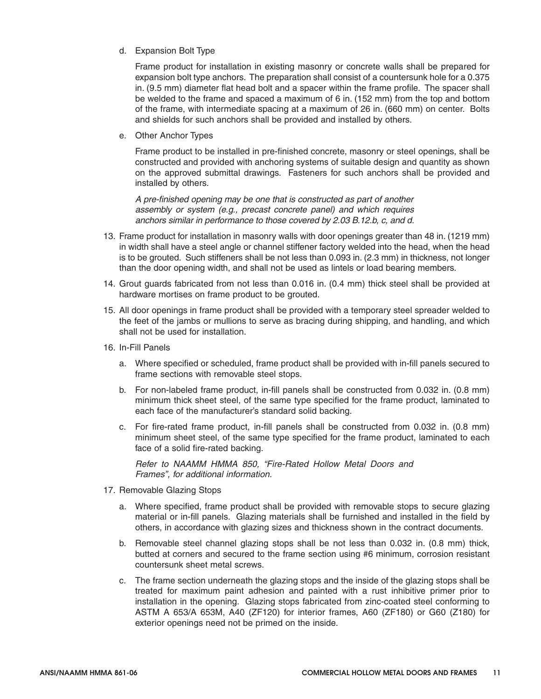d. Expansion Bolt Type

Frame product for installation in existing masonry or concrete walls shall be prepared for expansion bolt type anchors. The preparation shall consist of a countersunk hole for a 0.375 in. (9.5 mm) diameter flat head bolt and a spacer within the frame profile. The spacer shall be welded to the frame and spaced a maximum of 6 in. (152 mm) from the top and bottom of the frame, with intermediate spacing at a maximum of 26 in. (660 mm) on center. Bolts and shields for such anchors shall be provided and installed by others.

e. Other Anchor Types

Frame product to be installed in pre-finished concrete, masonry or steel openings, shall be constructed and provided with anchoring systems of suitable design and quantity as shown on the approved submittal drawings. Fasteners for such anchors shall be provided and installed by others.

A pre-finished opening may be one that is constructed as part of another assembly or system (e.g., precast concrete panel) and which requires anchors similar in performance to those covered by 2.03 B.12.b, c, and d.

- 13. Frame product for installation in masonry walls with door openings greater than 48 in. (1219 mm) in width shall have a steel angle or channel stiffener factory welded into the head, when the head is to be grouted. Such stiffeners shall be not less than 0.093 in. (2.3 mm) in thickness, not longer than the door opening width, and shall not be used as lintels or load bearing members.
- 14. Grout guards fabricated from not less than 0.016 in. (0.4 mm) thick steel shall be provided at hardware mortises on frame product to be grouted.
- 15. All door openings in frame product shall be provided with a temporary steel spreader welded to the feet of the jambs or mullions to serve as bracing during shipping, and handling, and which shall not be used for installation.
- 16. In-Fill Panels
	- a. Where specified or scheduled, frame product shall be provided with in-fill panels secured to frame sections with removable steel stops.
	- b. For non-labeled frame product, in-fill panels shall be constructed from 0.032 in. (0.8 mm) minimum thick sheet steel, of the same type specified for the frame product, laminated to each face of the manufacturer's standard solid backing.
	- c. For fire-rated frame product, in-fill panels shall be constructed from 0.032 in. (0.8 mm) minimum sheet steel, of the same type specified for the frame product, laminated to each face of a solid fire-rated backing.

Refer to NAAMM HMMA 850, "Fire-Rated Hollow Metal Doors and Frames", for additional information.

- 17. Removable Glazing Stops
	- a. Where specified, frame product shall be provided with removable stops to secure glazing material or in-fill panels. Glazing materials shall be furnished and installed in the field by others, in accordance with glazing sizes and thickness shown in the contract documents.
	- b. Removable steel channel glazing stops shall be not less than 0.032 in. (0.8 mm) thick, butted at corners and secured to the frame section using #6 minimum, corrosion resistant countersunk sheet metal screws.
	- c. The frame section underneath the glazing stops and the inside of the glazing stops shall be treated for maximum paint adhesion and painted with a rust inhibitive primer prior to installation in the opening. Glazing stops fabricated from zinc-coated steel conforming to ASTM A 653/A 653M, A40 (ZF120) for interior frames, A60 (ZF180) or G60 (Z180) for exterior openings need not be primed on the inside.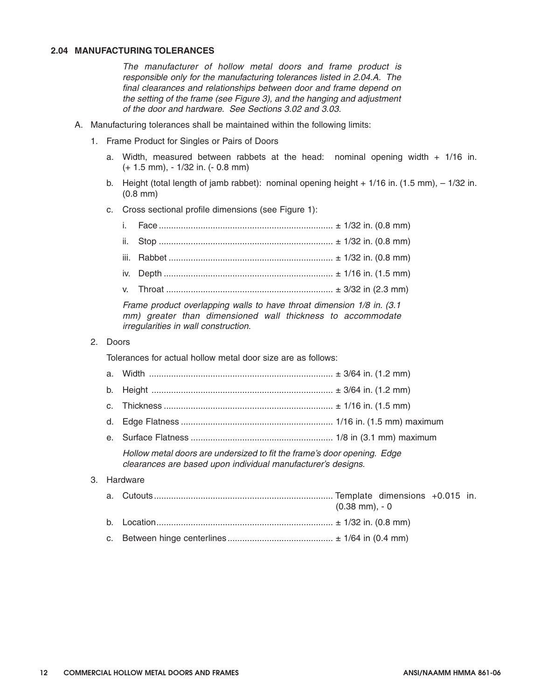#### **2.04 MANUFACTURING TOLERANCES**

*The manufacturer of hollow metal doors and frame product is responsible only for the manufacturing tolerances listed in 2.04.A. The final clearances and relationships between door and frame depend on the setting of the frame (see Figure 3), and the hanging and adjustment of the door and hardware. See Sections 3.02 and 3.03.*

- *A. Manufacturing tolerances shall be maintained within the following limits:*
	- *1. Frame Product for Singles or Pairs of Doors*
		- *a. Width, measured between rabbets at the head: nominal opening width + 1/16 in. (+ 1.5 mm), - 1/32 in. (- 0.8 mm)*
		- *b. Height (total length of jamb rabbet): nominal opening height + 1/16 in. (1.5 mm), 1/32 in. (0.8 mm)*
		- *c. Cross sectional profile dimensions (see Figure 1):*

| $\frac{1}{2}$ and $\frac{1}{2}$ and $\frac{1}{2}$ and $\frac{1}{2}$ and $\frac{1}{2}$ and $\frac{1}{2}$ and $\frac{1}{2}$ and $\frac{1}{2}$ and $\frac{1}{2}$ and $\frac{1}{2}$ and $\frac{1}{2}$ and $\frac{1}{2}$ and $\frac{1}{2}$ and $\frac{1}{2}$ and $\frac{1}{2}$ and $\frac{1}{2}$ a |
|-----------------------------------------------------------------------------------------------------------------------------------------------------------------------------------------------------------------------------------------------------------------------------------------------|

*Frame product overlapping walls to have throat dimension 1/8 in. (3.1 mm) greater than dimensioned wall thickness to accommodate irregularities in wall construction.*

*2. Doors*

*Tolerances for actual hollow metal door size are as follows:*

|    | b.          |                                                                                                                                         |                                     |
|----|-------------|-----------------------------------------------------------------------------------------------------------------------------------------|-------------------------------------|
|    | $C_{\cdot}$ |                                                                                                                                         |                                     |
|    | d.          |                                                                                                                                         |                                     |
|    |             |                                                                                                                                         |                                     |
|    |             | Hollow metal doors are undersized to fit the frame's door opening. Edge<br>clearances are based upon individual manufacturer's designs. |                                     |
| 3. |             | Hardware                                                                                                                                |                                     |
|    |             |                                                                                                                                         | $(0.38 \text{ mm})$ , - 0           |
|    |             | the contract of the contract of the contract of the contract of the contract of the contract of the contract of                         | $\sim$ 100 $\sim$ 100 $\sim$ $\sim$ |

- *b. Location........................................................................ ± 1/32 in. (0.8 mm)*
- *c. Between hinge centerlines........................................... ± 1/64 in (0.4 mm)*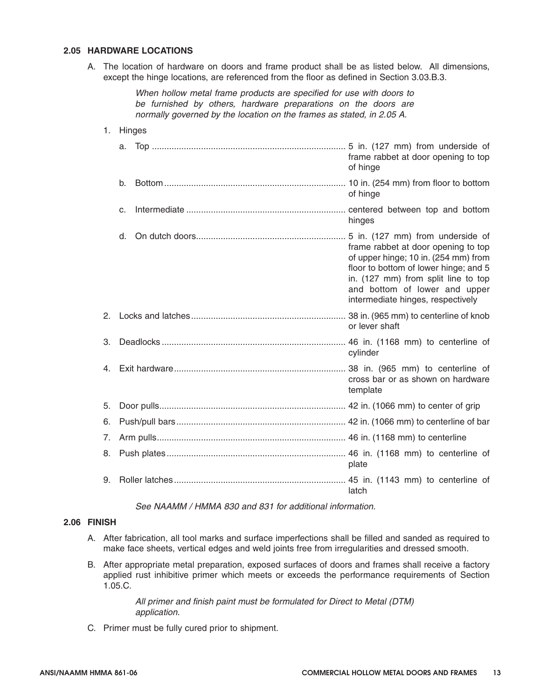#### **2.05 HARDWARE LOCATIONS**

A. The location of hardware on doors and frame product shall be as listed below. All dimensions, except the hinge locations, are referenced from the floor as defined in Section 3.03.B.3.

> When hollow metal frame products are specified for use with doors to be furnished by others, hardware preparations on the doors are normally governed by the location on the frames as stated, in 2.05 A.

1. Hinges a. Top ............................................................................... 5 in. (127 mm) from underside of frame rabbet at door opening to top of hinge b. Bottom.......................................................................... 10 in. (254 mm) from floor to bottom of hinge c. Intermediate ................................................................. centered between top and bottom hinges d. On dutch doors............................................................. 5 in. (127 mm) from underside of frame rabbet at door opening to top of upper hinge; 10 in. (254 mm) from floor to bottom of lower hinge; and 5 in. (127 mm) from split line to top and bottom of lower and upper intermediate hinges, respectively 2. Locks and latches............................................................... 38 in. (965 mm) to centerline of knob or lever shaft 3. Deadlocks ........................................................................... 46 in. (1168 mm) to centerline of cylinder 4. Exit hardware...................................................................... 38 in. (965 mm) to centerline of cross bar or as shown on hardware template 5. Door pulls............................................................................ 42 in. (1066 mm) to center of grip 6. Push/pull bars..................................................................... 42 in. (1066 mm) to centerline of bar 7. Arm pulls............................................................................. 46 in. (1168 mm) to centerline 8. Push plates......................................................................... 46 in. (1168 mm) to centerline of plate 9. Roller latches...................................................................... 45 in. (1143 mm) to centerline of latch

See NAAMM / HMMA 830 and 831 for additional information.

#### **2.06 FINISH**

- A. After fabrication, all tool marks and surface imperfections shall be filled and sanded as required to make face sheets, vertical edges and weld joints free from irregularities and dressed smooth.
- B. After appropriate metal preparation, exposed surfaces of doors and frames shall receive a factory applied rust inhibitive primer which meets or exceeds the performance requirements of Section 1.05.C.

All primer and finish paint must be formulated for Direct to Metal (DTM) application.

C. Primer must be fully cured prior to shipment.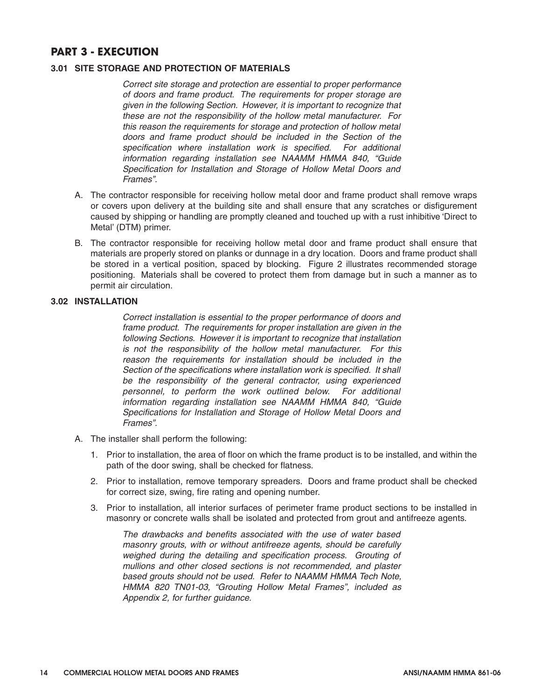#### **PART 3 - EXECUTION**

#### **3.01 SITE STORAGE AND PROTECTION OF MATERIALS**

*Correct site storage and protection are essential to proper performance of doors and frame product. The requirements for proper storage are given in the following Section. However, it is important to recognize that these are not the responsibility of the hollow metal manufacturer. For this reason the requirements for storage and protection of hollow metal doors and frame product should be included in the Section of the specification where installation work is specified. For additional information regarding installation see NAAMM HMMA 840, "Guide Specification for Installation and Storage of Hollow Metal Doors and Frames".*

- *A. The contractor responsible for receiving hollow metal door and frame product shall remove wraps or covers upon delivery at the building site and shall ensure that any scratches or disfigurement caused by shipping or handling are promptly cleaned and touched up with a rust inhibitive 'Direct to Metal' (DTM) primer.*
- *B. The contractor responsible for receiving hollow metal door and frame product shall ensure that materials are properly stored on planks or dunnage in a dry location. Doors and frame product shall be stored in a vertical position, spaced by blocking. Figure 2 illustrates recommended storage positioning. Materials shall be covered to protect them from damage but in such a manner as to permit air circulation.*

#### **3.02 INSTALLATION**

*Correct installation is essential to the proper performance of doors and frame product. The requirements for proper installation are given in the following Sections. However it is important to recognize that installation is not the responsibility of the hollow metal manufacturer. For this reason the requirements for installation should be included in the Section of the specifications where installation work is specified. It shall be the responsibility of the general contractor, using experienced personnel, to perform the work outlined below. For additional information regarding installation see NAAMM HMMA 840, "Guide Specifications for Installation and Storage of Hollow Metal Doors and Frames".*

- *A. The installer shall perform the following:*
	- *1. Prior to installation, the area of floor on which the frame product is to be installed, and within the path of the door swing, shall be checked for flatness.*
	- *2. Prior to installation, remove temporary spreaders. Doors and frame product shall be checked for correct size, swing, fire rating and opening number.*
	- *3. Prior to installation, all interior surfaces of perimeter frame product sections to be installed in masonry or concrete walls shall be isolated and protected from grout and antifreeze agents.*

*The drawbacks and benefits associated with the use of water based masonry grouts, with or without antifreeze agents, should be carefully weighed during the detailing and specification process. Grouting of mullions and other closed sections is not recommended, and plaster based grouts should not be used. Refer to NAAMM HMMA Tech Note, HMMA 820 TN01-03, "Grouting Hollow Metal Frames", included as Appendix 2, for further guidance.*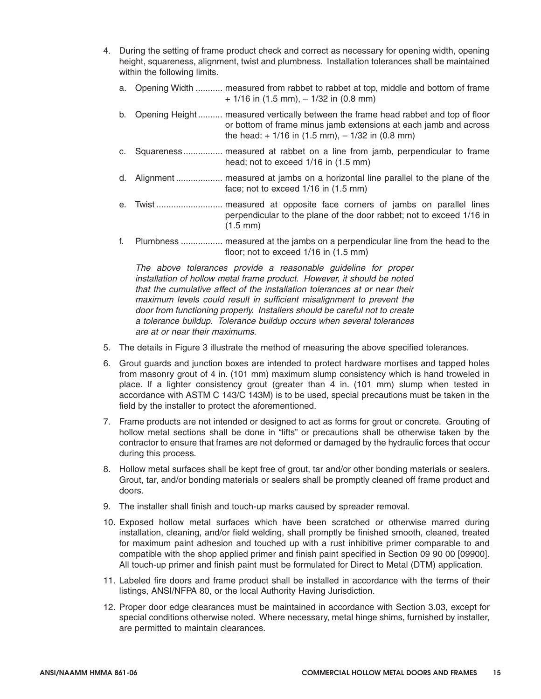- 4. During the setting of frame product check and correct as necessary for opening width, opening height, squareness, alignment, twist and plumbness. Installation tolerances shall be maintained within the following limits.
	- a. Opening Width ........... measured from rabbet to rabbet at top, middle and bottom of frame  $+ 1/16$  in (1.5 mm),  $- 1/32$  in (0.8 mm)
	- b. Opening Height .......... measured vertically between the frame head rabbet and top of floor or bottom of frame minus jamb extensions at each jamb and across the head:  $+1/16$  in (1.5 mm),  $-1/32$  in (0.8 mm)
	- c. Squareness................ measured at rabbet on a line from jamb, perpendicular to frame head; not to exceed 1/16 in (1.5 mm)
	- d. Alignment ................... measured at jambs on a horizontal line parallel to the plane of the face; not to exceed 1/16 in (1.5 mm)
	- e. Twist ........................... measured at opposite face corners of jambs on parallel lines perpendicular to the plane of the door rabbet; not to exceed 1/16 in (1.5 mm)
	- f. Plumbness ................. measured at the jambs on a perpendicular line from the head to the floor; not to exceed 1/16 in (1.5 mm)

The above tolerances provide a reasonable guideline for proper installation of hollow metal frame product. However, it should be noted that the cumulative affect of the installation tolerances at or near their maximum levels could result in sufficient misalignment to prevent the door from functioning properly. Installers should be careful not to create a tolerance buildup. Tolerance buildup occurs when several tolerances are at or near their maximums.

- 5. The details in Figure 3 illustrate the method of measuring the above specified tolerances.
- 6. Grout guards and junction boxes are intended to protect hardware mortises and tapped holes from masonry grout of 4 in. (101 mm) maximum slump consistency which is hand troweled in place. If a lighter consistency grout (greater than 4 in. (101 mm) slump when tested in accordance with ASTM C 143/C 143M) is to be used, special precautions must be taken in the field by the installer to protect the aforementioned.
- 7. Frame products are not intended or designed to act as forms for grout or concrete. Grouting of hollow metal sections shall be done in "lifts" or precautions shall be otherwise taken by the contractor to ensure that frames are not deformed or damaged by the hydraulic forces that occur during this process.
- 8. Hollow metal surfaces shall be kept free of grout, tar and/or other bonding materials or sealers. Grout, tar, and/or bonding materials or sealers shall be promptly cleaned off frame product and doors.
- 9. The installer shall finish and touch-up marks caused by spreader removal.
- 10. Exposed hollow metal surfaces which have been scratched or otherwise marred during installation, cleaning, and/or field welding, shall promptly be finished smooth, cleaned, treated for maximum paint adhesion and touched up with a rust inhibitive primer comparable to and compatible with the shop applied primer and finish paint specified in Section 09 90 00 [09900]. All touch-up primer and finish paint must be formulated for Direct to Metal (DTM) application.
- 11. Labeled fire doors and frame product shall be installed in accordance with the terms of their listings, ANSI/NFPA 80, or the local Authority Having Jurisdiction.
- 12. Proper door edge clearances must be maintained in accordance with Section 3.03, except for special conditions otherwise noted. Where necessary, metal hinge shims, furnished by installer, are permitted to maintain clearances.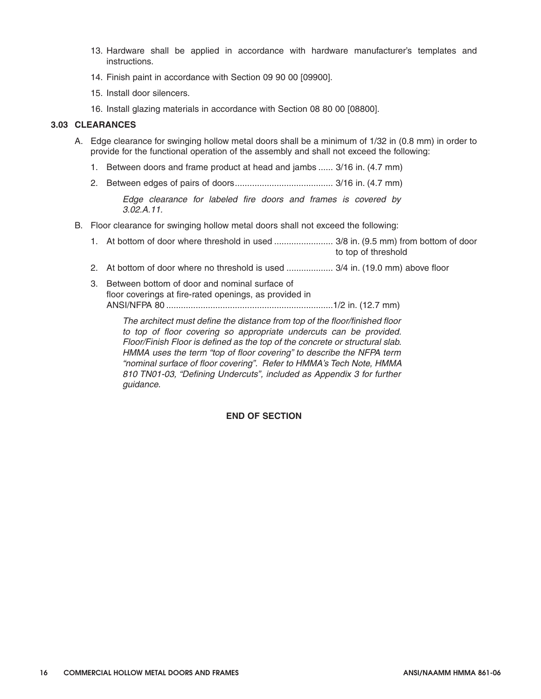- 13. Hardware shall be applied in accordance with hardware manufacturer's templates and instructions.
- 14. Finish paint in accordance with Section 09 90 00 [09900].
- 15. Install door silencers.
- 16. Install glazing materials in accordance with Section 08 80 00 [08800].

#### **3.03 CLEARANCES**

- A. Edge clearance for swinging hollow metal doors shall be a minimum of 1/32 in (0.8 mm) in order to provide for the functional operation of the assembly and shall not exceed the following:
	- 1. Between doors and frame product at head and jambs ...... 3/16 in. (4.7 mm)
	- 2. Between edges of pairs of doors........................................ 3/16 in. (4.7 mm)

Edge clearance for labeled fire doors and frames is covered by 3.02.A.11.

- B. Floor clearance for swinging hollow metal doors shall not exceed the following:
	- 1. At bottom of door where threshold in used ........................ 3/8 in. (9.5 mm) from bottom of door to top of threshold
	- 2. At bottom of door where no threshold is used ................... 3/4 in. (19.0 mm) above floor
	- 3. Between bottom of door and nominal surface of floor coverings at fire-rated openings, as provided in ANSI/NFPA 80 ....................................................................1/2 in. (12.7 mm)

The architect must define the distance from top of the floor/finished floor to top of floor covering so appropriate undercuts can be provided. Floor/Finish Floor is defined as the top of the concrete or structural slab. HMMA uses the term "top of floor covering" to describe the NFPA term "nominal surface of floor covering". Refer to HMMA's Tech Note, HMMA 810 TN01-03, "Defining Undercuts", included as Appendix 3 for further guidance.

#### **END OF SECTION**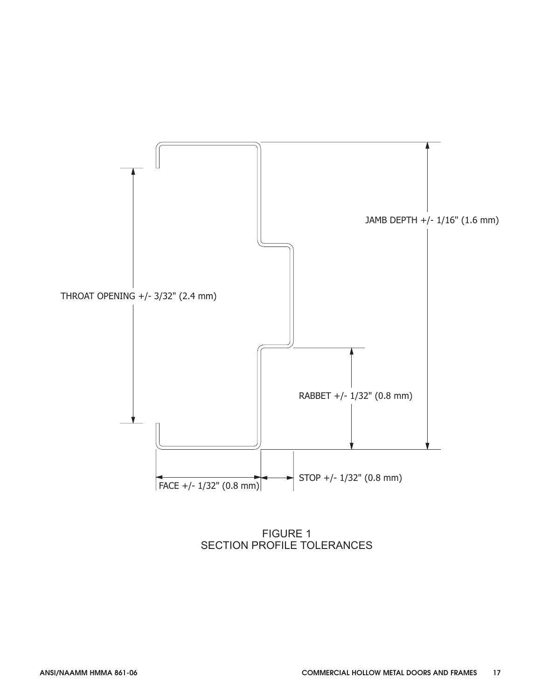

FIGURE 1 SECTION PROFILE TOLERANCES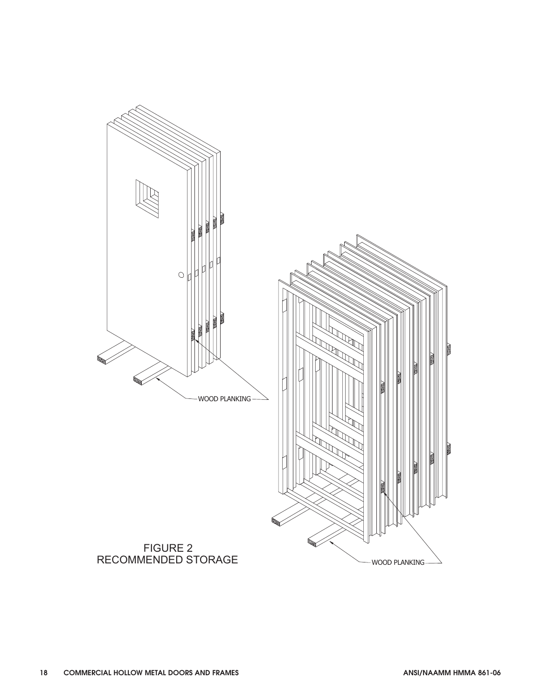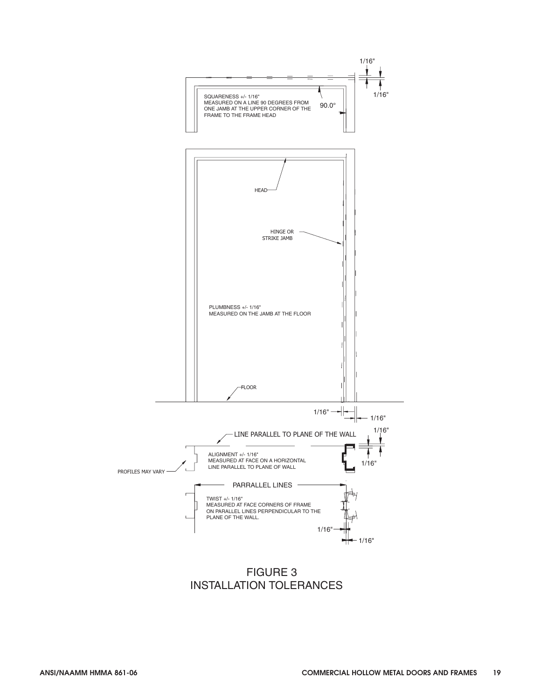

FIGURE 3 INSTALLATION TOLERANCES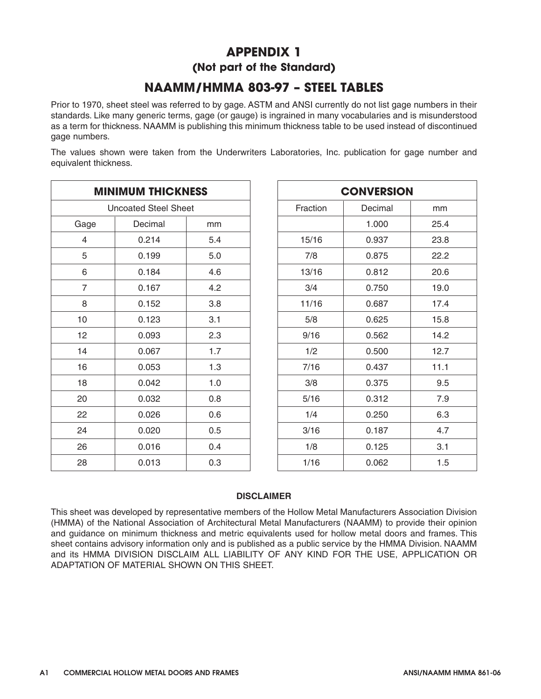# **APPENDIX 1 (Not part of the Standard)**

# **NAAMM/HMMA 803-97 – STEEL TABLES**

Prior to 1970, sheet steel was referred to by gage. ASTM and ANSI currently do not list gage numbers in their standards. Like many generic terms, gage (or gauge) is ingrained in many vocabularies and is misunderstood as a term for thickness. NAAMM is publishing this minimum thickness table to be used instead of discontinued gage numbers.

The values shown were taken from the Underwriters Laboratories, Inc. publication for gage number and equivalent thickness.

| <b>MINIMUM THICKNESS</b>    |          |     |       |
|-----------------------------|----------|-----|-------|
| <b>Uncoated Steel Sheet</b> | Fraction |     |       |
| Gage                        | Decimal  | mm  |       |
| 4                           | 0.214    | 5.4 | 15/16 |
| 5                           | 0.199    | 5.0 | 7/8   |
| 6                           | 0.184    | 4.6 | 13/16 |
| 7                           | 0.167    | 4.2 | 3/4   |
| 8                           | 0.152    | 3.8 | 11/16 |
| 10                          | 0.123    | 3.1 | 5/8   |
| 12                          | 0.093    | 2.3 | 9/16  |
| 14                          | 0.067    | 1.7 | 1/2   |
| 16                          | 0.053    | 1.3 | 7/16  |
| 18                          | 0.042    | 1.0 | 3/8   |
| 20                          | 0.032    | 0.8 | 5/16  |
| 22                          | 0.026    | 0.6 | 1/4   |
| 24                          | 0.020    | 0.5 | 3/16  |
| 26                          | 0.016    | 0.4 | 1/8   |
| 28                          | 0.013    | 0.3 | 1/16  |

| <b>CONVERSION</b> |         |      |  |  |
|-------------------|---------|------|--|--|
| Fraction          | Decimal | mm   |  |  |
|                   | 1.000   | 25.4 |  |  |
| 15/16             | 0.937   | 23.8 |  |  |
| 7/8               | 0.875   | 22.2 |  |  |
| 13/16             | 0.812   | 20.6 |  |  |
| 3/4               | 0.750   | 19.0 |  |  |
| 11/16             | 0.687   | 17.4 |  |  |
| 5/8               | 0.625   | 15.8 |  |  |
| 9/16              | 0.562   | 14.2 |  |  |
| 1/2               | 0.500   | 12.7 |  |  |
| 7/16              | 0.437   | 11.1 |  |  |
| 3/8               | 0.375   | 9.5  |  |  |
| 5/16              | 0.312   | 7.9  |  |  |
| 1/4               | 0.250   | 6.3  |  |  |
| 3/16              | 0.187   | 4.7  |  |  |
| 1/8               | 0.125   | 3.1  |  |  |
| 1/16              | 0.062   | 1.5  |  |  |

#### **DISCLAIMER**

This sheet was developed by representative members of the Hollow Metal Manufacturers Association Division (HMMA) of the National Association of Architectural Metal Manufacturers (NAAMM) to provide their opinion and guidance on minimum thickness and metric equivalents used for hollow metal doors and frames. This sheet contains advisory information only and is published as a public service by the HMMA Division. NAAMM and its HMMA DIVISION DISCLAIM ALL LIABILITY OF ANY KIND FOR THE USE, APPLICATION OR ADAPTATION OF MATERIAL SHOWN ON THIS SHEET.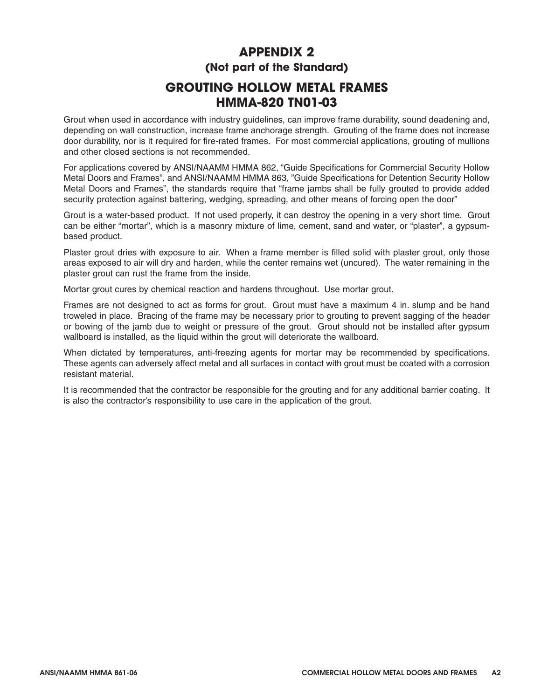# **APPENDIX 2 (Not part of the Standard)**

# **GROUTING HOLLOW METAL FRAMES HMMA-820 TN01-03**

Grout when used in accordance with industry guidelines, can improve frame durability, sound deadening and, depending on wall construction, increase frame anchorage strength. Grouting of the frame does not increase door durability, nor is it required for fire-rated frames. For most commercial applications, grouting of mullions and other closed sections is not recommended.

For applications covered by ANSI/NAAMM HMMA 862, "Guide Specifications for Commercial Security Hollow Metal Doors and Frames", and ANSI/NAAMM HMMA 863, "Guide Specifications for Detention Security Hollow Metal Doors and Frames", the standards require that "frame jambs shall be fully grouted to provide added security protection against battering, wedging, spreading, and other means of forcing open the door"

Grout is a water-based product. If not used properly, it can destroy the opening in a very short time. Grout can be either "mortar", which is a masonry mixture of lime, cement, sand and water, or "plaster", a gypsumbased product.

Plaster grout dries with exposure to air. When a frame member is filled solid with plaster grout, only those areas exposed to air will dry and harden, while the center remains wet (uncured). The water remaining in the plaster grout can rust the frame from the inside.

Mortar grout cures by chemical reaction and hardens throughout. Use mortar grout.

Frames are not designed to act as forms for grout. Grout must have a maximum 4 in. slump and be hand troweled in place. Bracing of the frame may be necessary prior to grouting to prevent sagging of the header or bowing of the jamb due to weight or pressure of the grout. Grout should not be installed after gypsum wallboard is installed, as the liquid within the grout will deteriorate the wallboard.

When dictated by temperatures, anti-freezing agents for mortar may be recommended by specifications. These agents can adversely affect metal and all surfaces in contact with grout must be coated with a corrosion resistant material.

It is recommended that the contractor be responsible for the grouting and for any additional barrier coating. It is also the contractor's responsibility to use care in the application of the grout.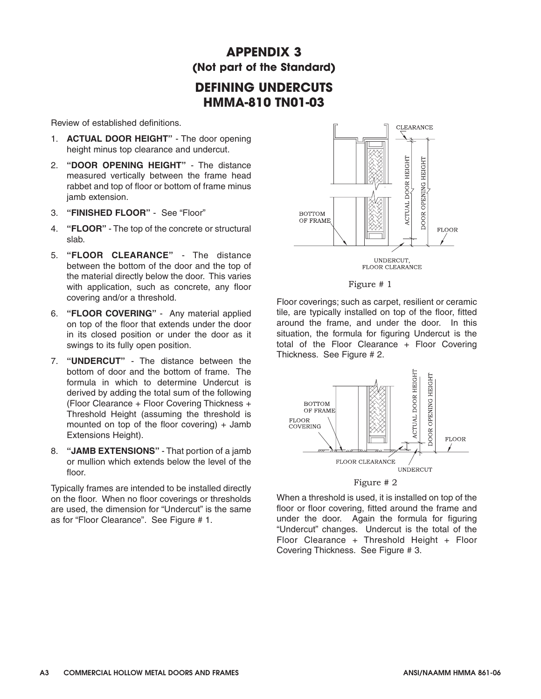# **APPENDIX 3 (Not part of the Standard)**

## **DEFINING UNDERCUTS HMMA-810 TN01-03**

Review of established definitions.

- 1. **ACTUAL DOOR HEIGHT"** The door opening height minus top clearance and undercut.
- 2. **"DOOR OPENING HEIGHT"** The distance measured vertically between the frame head rabbet and top of floor or bottom of frame minus jamb extension.
- 3. **"FINISHED FLOOR"** See "Floor"
- 4. **"FLOOR"** The top of the concrete or structural slab.
- 5. **"FLOOR CLEARANCE"** The distance between the bottom of the door and the top of the material directly below the door. This varies with application, such as concrete, any floor covering and/or a threshold.
- 6. **"FLOOR COVERING"** Any material applied on top of the floor that extends under the door in its closed position or under the door as it swings to its fully open position.
- 7. **"UNDERCUT"** The distance between the bottom of door and the bottom of frame. The formula in which to determine Undercut is derived by adding the total sum of the following (Floor Clearance + Floor Covering Thickness + Threshold Height (assuming the threshold is mounted on top of the floor covering) + Jamb Extensions Height).
- 8. **"JAMB EXTENSIONS"** That portion of a jamb or mullion which extends below the level of the floor

Typically frames are intended to be installed directly on the floor. When no floor coverings or thresholds are used, the dimension for "Undercut" is the same as for "Floor Clearance". See Figure # 1.





Floor coverings; such as carpet, resilient or ceramic tile, are typically installed on top of the floor, fitted around the frame, and under the door. In this situation, the formula for figuring Undercut is the total of the Floor Clearance + Floor Covering Thickness. See Figure # 2.



When a threshold is used, it is installed on top of the floor or floor covering, fitted around the frame and under the door. Again the formula for figuring "Undercut" changes. Undercut is the total of the Floor Clearance + Threshold Height + Floor Covering Thickness. See Figure # 3.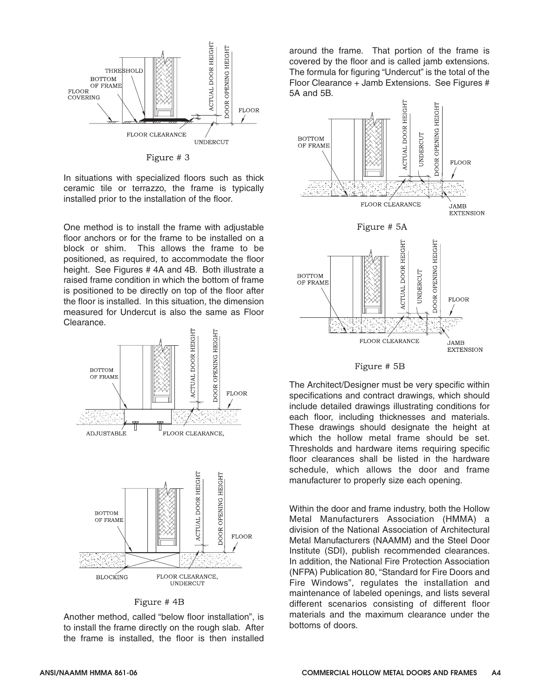

Figure # 3

In situations with specialized floors such as thick ceramic tile or terrazzo, the frame is typically installed prior to the installation of the floor.

One method is to install the frame with adjustable floor anchors or for the frame to be installed on a block or shim. This allows the frame to be positioned, as required, to accommodate the floor height. See Figures #4A and 4B. Both illustrate a raised frame condition in which the bottom of frame is positioned to be directly on top of the floor after the floor is installed. In this situation, the dimension measured for Undercut is also the same as Floor Clearance.



Figure #4B

Another method, called "below floor installation", is to install the frame directly on the rough slab. After the frame is installed, the floor is then installed around the frame. That portion of the frame is covered by the floor and is called jamb extensions. The formula for figuring "Undercut" is the total of the Floor Clearance + Jamb Extensions. See Figures # 5A and 5B.



Figure # 5B

The Architect/Designer must be very specific within specifications and contract drawings, which should include detailed drawings illustrating conditions for each floor, including thicknesses and materials. These drawings should designate the height at which the hollow metal frame should be set. Thresholds and hardware items requiring specific floor clearances shall be listed in the hardware schedule, which allows the door and frame manufacturer to properly size each opening.

Within the door and frame industry, both the Hollow Metal Manufacturers Association (HMMA) a division of the National Association of Architectural Metal Manufacturers (NAAMM) and the Steel Door Institute (SDI), publish recommended clearances. In addition, the National Fire Protection Association (NFPA) Publication 80, "Standard for Fire Doors and Fire Windows", regulates the installation and maintenance of labeled openings, and lists several different scenarios consisting of different floor materials and the maximum clearance under the bottoms of doors.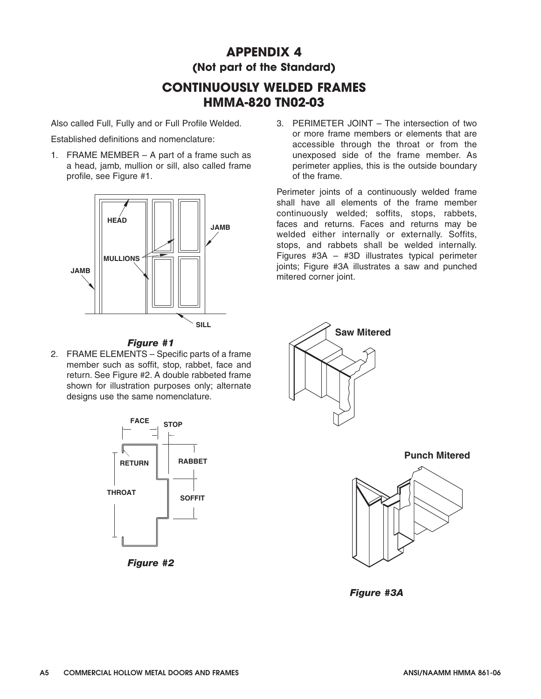# **APPENDIX 4 (Not part of the Standard)**

# **CONTINUOUSLY WELDED FRAMES HMMA-820 TN02-03**

Also called Full, Fully and or Full Profile Welded.

Established definitions and nomenclature:

1. FRAME MEMBER – A part of a frame such as a head, jamb, mullion or sill, also called frame profile, see Figure #1.





2. FRAME ELEMENTS – Specific parts of a frame member such as soffit, stop, rabbet, face and return. See Figure #2. A double rabbeted frame shown for illustration purposes only; alternate designs use the same nomenclature.



*Figure #2* 

3. PERIMETER JOINT – The intersection of two or more frame members or elements that are accessible through the throat or from the unexposed side of the frame member. As perimeter applies, this is the outside boundary of the frame.

Perimeter joints of a continuously welded frame shall have all elements of the frame member continuously welded; soffits, stops, rabbets, faces and returns. Faces and returns may be welded either internally or externally. Soffits, stops, and rabbets shall be welded internally. Figures #3A – #3D illustrates typical perimeter joints; Figure #3A illustrates a saw and punched mitered corner joint.





*Figure #3A*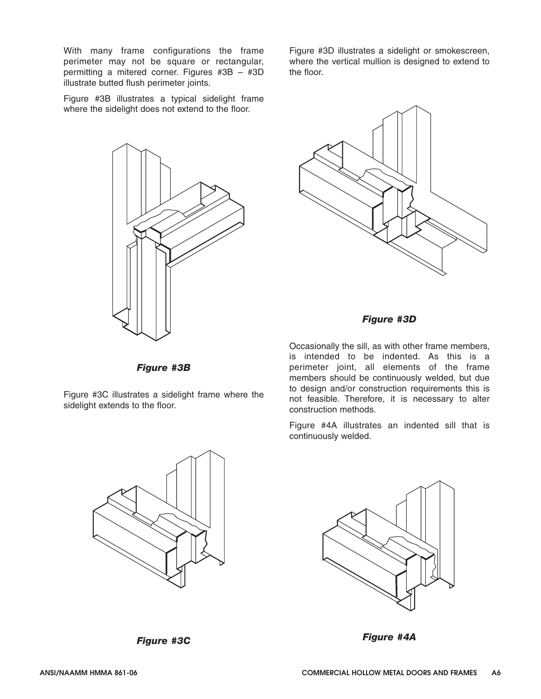With many frame configurations the frame perimeter may not be square or rectangular, permitting a mitered corner. Figures #3B – #3D illustrate butted flush perimeter joints.

Figure #3B illustrates a typical sidelight frame where the sidelight does not extend to the floor.



Figure #3D illustrates a sidelight or smokescreen, where the vertical mullion is designed to extend to the floor.



#### *Figure #3D*

*Figure #3B*

Figure #3C illustrates a sidelight frame where the sidelight extends to the floor.

Occasionally the sill, as with other frame members, is intended to be indented. As this is a perimeter joint, all elements of the frame members should be continuously welded, but due to design and/or construction requirements this is not feasible. Therefore, it is necessary to alter construction methods.

Figure #4A illustrates an indented sill that is continuously welded.





*Figure #3C*

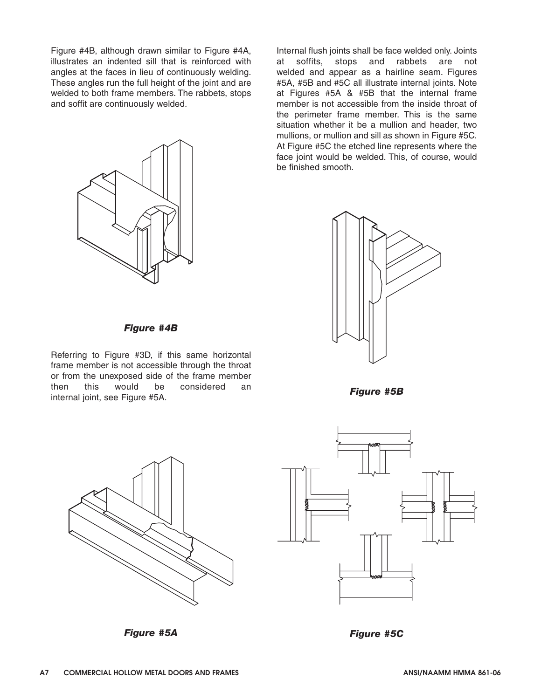Figure #4B, although drawn similar to Figure #4A, illustrates an indented sill that is reinforced with angles at the faces in lieu of continuously welding. These angles run the full height of the joint and are welded to both frame members. The rabbets, stops and soffit are continuously welded.



Internal flush joints shall be face welded only. Joints at soffits, stops and rabbets are not welded and appear as a hairline seam. Figures #5A, #5B and #5C all illustrate internal joints. Note at Figures #5A & #5B that the internal frame member is not accessible from the inside throat of the perimeter frame member. This is the same situation whether it be a mullion and header, two mullions, or mullion and sill as shown in Figure #5C. At Figure #5C the etched line represents where the face joint would be welded. This, of course, would be finished smooth.



*Figure #4B*

Referring to Figure #3D, if this same horizontal frame member is not accessible through the throat or from the unexposed side of the frame member then this would be considered an internal joint, see Figure #5A.



*Figure #5A*

*Figure #5B*



*Figure #5C*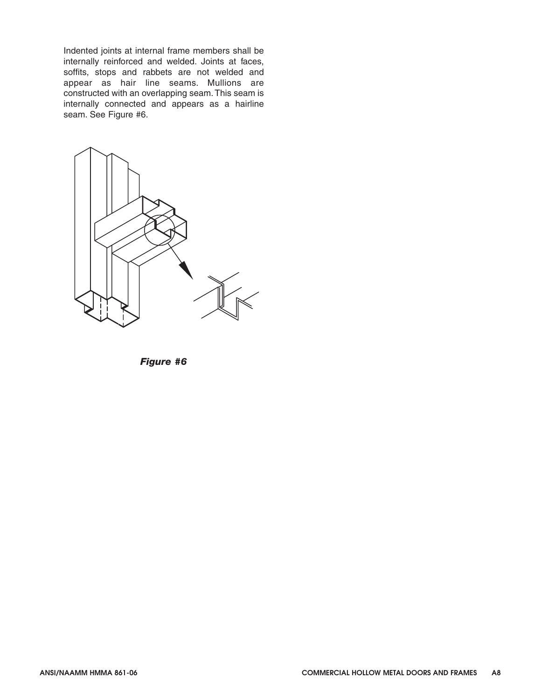Indented joints at internal frame members shall be internally reinforced and welded. Joints at faces, soffits, stops and rabbets are not welded and appear as hair line seams. Mullions are constructed with an overlapping seam. This seam is internally connected and appears as a hairline seam. See Figure #6.



*Figure #6*